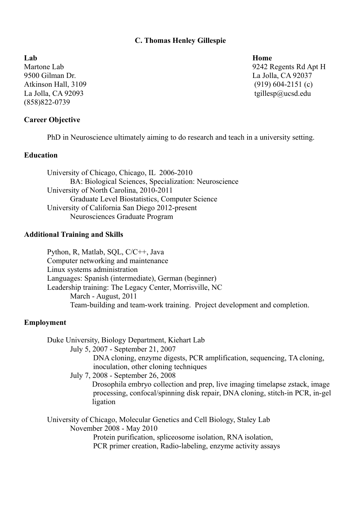## **C. Thomas Henley Gillespie**

**Lab Home** 9500 Gilman Dr. La Jolla, CA 92037 Atkinson Hall, 3109 (919) 604-2151 (c) La Jolla, CA 92093 tgillesp@ucsd.edu (858)822-0739

## **Career Objective**

PhD in Neuroscience ultimately aiming to do research and teach in a university setting.

# **Education**

University of Chicago, Chicago, IL 2006-2010 BA: Biological Sciences, Specialization: Neuroscience University of North Carolina, 2010-2011 Graduate Level Biostatistics, Computer Science University of California San Diego 2012-present Neurosciences Graduate Program

#### **Additional Training and Skills**

Python, R, Matlab, SQL, C/C++, Java Computer networking and maintenance Linux systems administration Languages: Spanish (intermediate), German (beginner) Leadership training: The Legacy Center, Morrisville, NC March - August, 2011 Team-building and team-work training. Project development and completion.

#### **Employment**

Duke University, Biology Department, Kiehart Lab

July 5, 2007 - September 21, 2007

DNA cloning, enzyme digests, PCR amplification, sequencing, TA cloning, inoculation, other cloning techniques

July 7, 2008 - September 26, 2008

Drosophila embryo collection and prep, live imaging timelapse zstack, image processing, confocal/spinning disk repair, DNA cloning, stitch-in PCR, in-gel ligation

University of Chicago, Molecular Genetics and Cell Biology, Staley Lab November 2008 - May 2010 Protein purification, spliceosome isolation, RNA isolation, PCR primer creation, Radio-labeling, enzyme activity assays

Martone Lab 9242 Regents Rd Apt H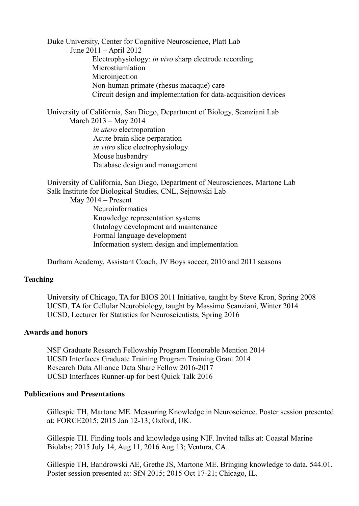Duke University, Center for Cognitive Neuroscience, Platt Lab June 2011 – April 2012 Electrophysiology: *in vivo* sharp electrode recording Microstiumlation Microinjection Non-human primate (rhesus macaque) care Circuit design and implementation for data-acquisition devices

University of California, San Diego, Department of Biology, Scanziani Lab March 2013 – May 2014 *in utero* electroporation Acute brain slice perparation *in vitro* slice electrophysiology Mouse husbandry Database design and management

University of California, San Diego, Department of Neurosciences, Martone Lab Salk Institute for Biological Studies, CNL, Sejnowski Lab

May 2014 – Present

**Neuroinformatics** Knowledge representation systems Ontology development and maintenance Formal language development Information system design and implementation

Durham Academy, Assistant Coach, JV Boys soccer, 2010 and 2011 seasons

## **Teaching**

University of Chicago, TA for BIOS 2011 Initiative, taught by Steve Kron, Spring 2008 UCSD, TA for Cellular Neurobiology, taught by Massimo Scanziani, Winter 2014 UCSD, Lecturer for Statistics for Neuroscientists, Spring 2016

## **Awards and honors**

NSF Graduate Research Fellowship Program Honorable Mention 2014 UCSD Interfaces Graduate Training Program Training Grant 2014 Research Data Alliance Data Share Fellow 2016-2017 UCSD Interfaces Runner-up for best Quick Talk 2016

#### **Publications and Presentations**

Gillespie TH, Martone ME. Measuring Knowledge in Neuroscience. Poster session presented at: FORCE2015; 2015 Jan 12-13; Oxford, UK.

Gillespie TH. Finding tools and knowledge using NIF. Invited talks at: Coastal Marine Biolabs; 2015 July 14, Aug 11, 2016 Aug 13; Ventura, CA.

Gillespie TH, Bandrowski AE, Grethe JS, Martone ME. Bringing knowledge to data. 544.01. Poster session presented at: SfN 2015; 2015 Oct 17-21; Chicago, IL.